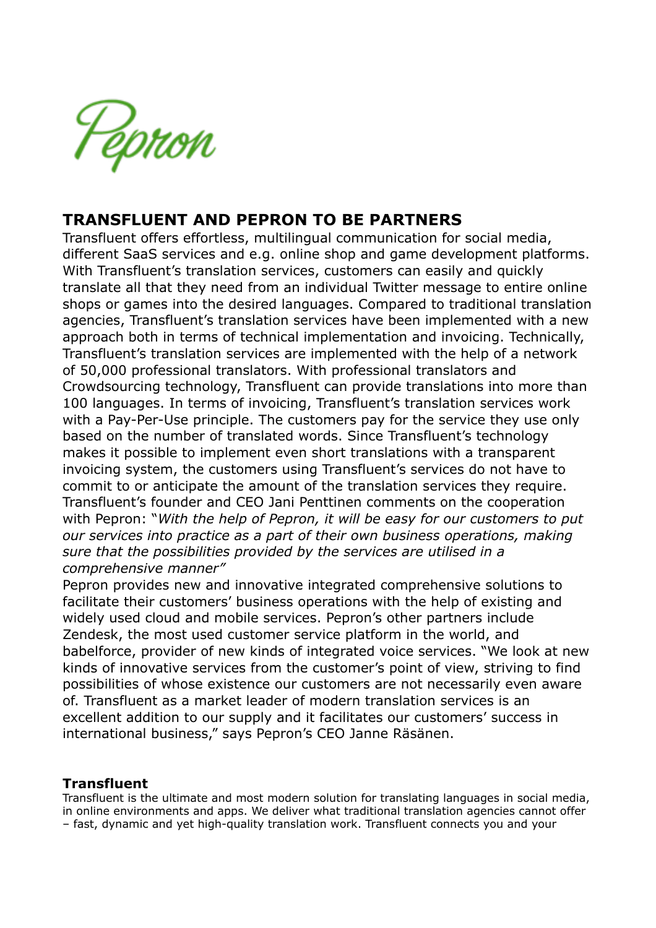

## **TRANSFLUENT AND PEPRON TO BE PARTNERS**

Transfluent offers effortless, multilingual communication for social media, different SaaS services and e.g. online shop and game development platforms. With Transfluent's translation services, customers can easily and quickly translate all that they need from an individual Twitter message to entire online shops or games into the desired languages. Compared to traditional translation agencies, Transfluent's translation services have been implemented with a new approach both in terms of technical implementation and invoicing. Technically, Transfluent's translation services are implemented with the help of a network of 50,000 professional translators. With professional translators and Crowdsourcing technology, Transfluent can provide translations into more than 100 languages. In terms of invoicing, Transfluent's translation services work with a Pay-Per-Use principle. The customers pay for the service they use only based on the number of translated words. Since Transfluent's technology makes it possible to implement even short translations with a transparent invoicing system, the customers using Transfluent's services do not have to commit to or anticipate the amount of the translation services they require. Transfluent's founder and CEO Jani Penttinen comments on the cooperation with Pepron: "*With the help of Pepron, it will be easy for our customers to put our services into practice as a part of their own business operations, making sure that the possibilities provided by the services are utilised in a comprehensive manner"*

Pepron provides new and innovative integrated comprehensive solutions to facilitate their customers' business operations with the help of existing and widely used cloud and mobile services. Pepron's other partners include Zendesk, the most used customer service platform in the world, and babelforce, provider of new kinds of integrated voice services. "We look at new kinds of innovative services from the customer's point of view, striving to find possibilities of whose existence our customers are not necessarily even aware of. Transfluent as a market leader of modern translation services is an excellent addition to our supply and it facilitates our customers' success in international business," says Pepron's CEO Janne Räsänen.

## **Transfluent**

Transfluent is the ultimate and most modern solution for translating languages in social media, in online environments and apps. We deliver what traditional translation agencies cannot offer – fast, dynamic and yet high-quality translation work. Transfluent connects you and your